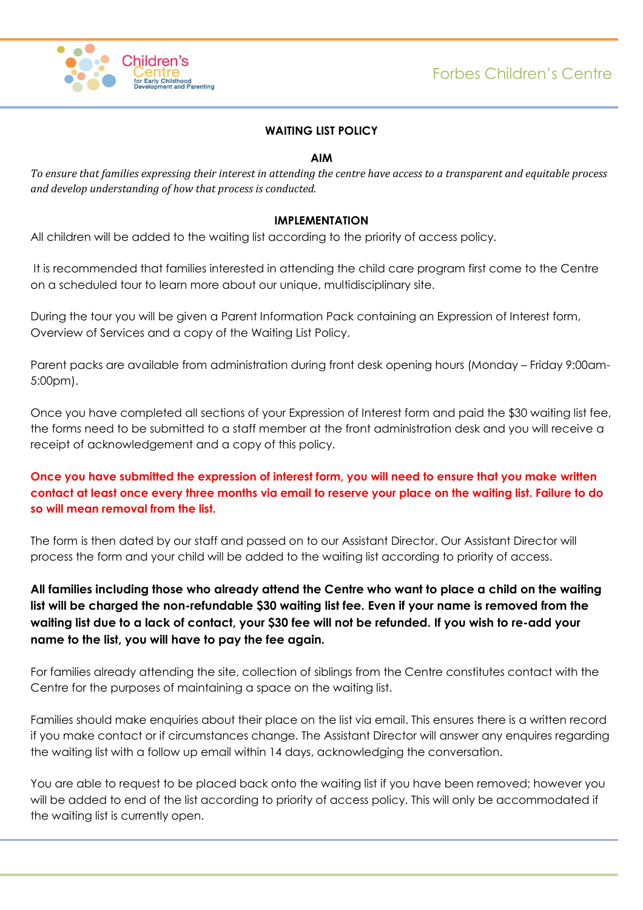

## **WAITING LIST POLICY**

#### **AIM**

*To ensure that families expressing their interest in attending the centre have access to a transparent and equitable process and develop understanding of how that process is conducted.* 

#### **IMPLEMENTATION**

All children will be added to the waiting list according to the priority of access policy.

It is recommended that families interested in attending the child care program first come to the Centre on a scheduled tour to learn more about our unique, multidisciplinary site.

During the tour you will be given a Parent Information Pack containing an Expression of Interest form, Overview of Services and a copy of the Waiting List Policy.

Parent packs are available from administration during front desk opening hours (Monday – Friday 9:00am-5:00pm).

Once you have completed all sections of your Expression of Interest form and paid the \$30 waiting list fee, the forms need to be submitted to a staff member at the front administration desk and you will receive a receipt of acknowledgement and a copy of this policy.

# **Once you have submitted the expression of interest form, you will need to ensure that you make written contact at least once every three months via email to reserve your place on the waiting list. Failure to do so will mean removal from the list.**

The form is then dated by our staff and passed on to our Assistant Director. Our Assistant Director will process the form and your child will be added to the waiting list according to priority of access.

**All families including those who already attend the Centre who want to place a child on the waiting list will be charged the non-refundable \$30 waiting list fee. Even if your name is removed from the waiting list due to a lack of contact, your \$30 fee will not be refunded. If you wish to re-add your name to the list, you will have to pay the fee again.**

For families already attending the site, collection of siblings from the Centre constitutes contact with the Centre for the purposes of maintaining a space on the waiting list.

Families should make enquiries about their place on the list via email. This ensures there is a written record if you make contact or if circumstances change. The Assistant Director will answer any enquires regarding the waiting list with a follow up email within 14 days, acknowledging the conversation.

You are able to request to be placed back onto the waiting list if you have been removed; however you will be added to end of the list according to priority of access policy. This will only be accommodated if the waiting list is currently open.